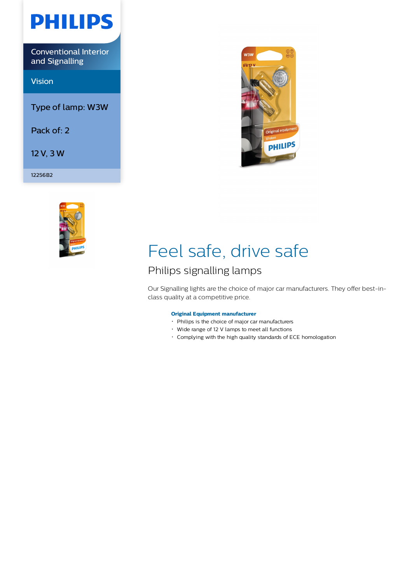

Conventional Interior and Signalling

Vision

Type of lamp: W3W

Pack of: 2

12 V, 3 W

12256B2





# Feel safe, drive safe

## Philips signalling lamps

Our Signalling lights are the choice of major car manufacturers. They offer best-inclass quality at a competitive price.

### **Original Equipment manufacturer**

- Philips is the choice of major car manufacturers
- Wide range of 12 V lamps to meet all functions
- Complying with the high quality standards of ECE homologation